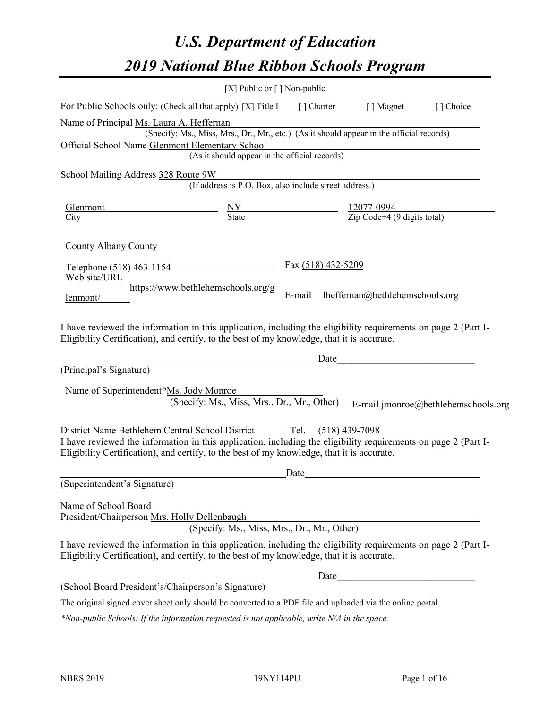# *U.S. Department of Education 2019 National Blue Ribbon Schools Program*

|                                                                                                                                                                                                              | [X] Public or $\lceil$ ] Non-public                                                      |                    |                                 |                                     |
|--------------------------------------------------------------------------------------------------------------------------------------------------------------------------------------------------------------|------------------------------------------------------------------------------------------|--------------------|---------------------------------|-------------------------------------|
| For Public Schools only: (Check all that apply) [X] Title I                                                                                                                                                  |                                                                                          |                    | [] Charter [] Magnet            | [] Choice                           |
| Name of Principal Ms. Laura A. Heffernan                                                                                                                                                                     | (Specify: Ms., Miss, Mrs., Dr., Mr., etc.) (As it should appear in the official records) |                    |                                 |                                     |
| Official School Name Glenmont Elementary School                                                                                                                                                              | (As it should appear in the official records)                                            |                    |                                 |                                     |
| School Mailing Address 328 Route 9W                                                                                                                                                                          | (If address is P.O. Box, also include street address.)                                   |                    |                                 |                                     |
| Glenmont<br>City                                                                                                                                                                                             | $\frac{NY}{State}$ $\frac{12077-0994}{Zip Code+4 (9 digits total)}$                      |                    |                                 |                                     |
| County Albany County                                                                                                                                                                                         |                                                                                          |                    |                                 |                                     |
| Telephone (518) 463-1154<br>Web site/URL                                                                                                                                                                     |                                                                                          | Fax (518) 432-5209 |                                 |                                     |
| lenmont/                                                                                                                                                                                                     | https://www.bethlehemschools.org/g                                                       | E-mail             | lheffernan@bethlehemschools.org |                                     |
| I have reviewed the information in this application, including the eligibility requirements on page 2 (Part I-<br>Eligibility Certification), and certify, to the best of my knowledge, that it is accurate. |                                                                                          |                    |                                 |                                     |
|                                                                                                                                                                                                              |                                                                                          | Date               |                                 |                                     |
| (Principal's Signature)                                                                                                                                                                                      |                                                                                          |                    |                                 |                                     |
| Name of Superintendent*Ms. Jody Monroe                                                                                                                                                                       | (Specify: Ms., Miss, Mrs., Dr., Mr., Other)                                              |                    |                                 | E-mail jmonroe@bethlehemschools.org |
| District Name Bethlehem Central School District Tel. (518) 439-7098                                                                                                                                          |                                                                                          |                    |                                 |                                     |
| I have reviewed the information in this application, including the eligibility requirements on page 2 (Part I-<br>Eligibility Certification), and certify, to the best of my knowledge, that it is accurate. |                                                                                          |                    |                                 |                                     |
|                                                                                                                                                                                                              |                                                                                          | Date               |                                 |                                     |
| (Superintendent's Signature)                                                                                                                                                                                 |                                                                                          |                    |                                 |                                     |
| Name of School Board<br>President/Chairperson Mrs. Holly Dellenbaugh                                                                                                                                         | (Specify: Ms., Miss, Mrs., Dr., Mr., Other)                                              |                    |                                 |                                     |
| I have reviewed the information in this application, including the eligibility requirements on page 2 (Part I-<br>Eligibility Certification), and certify, to the best of my knowledge, that it is accurate. |                                                                                          |                    |                                 |                                     |
|                                                                                                                                                                                                              |                                                                                          | Date               |                                 |                                     |
| (School Board President's/Chairperson's Signature)                                                                                                                                                           |                                                                                          |                    |                                 |                                     |
| The original signed cover sheet only should be converted to a PDF file and uploaded via the online portal.                                                                                                   |                                                                                          |                    |                                 |                                     |

*\*Non-public Schools: If the information requested is not applicable, write N/A in the space.*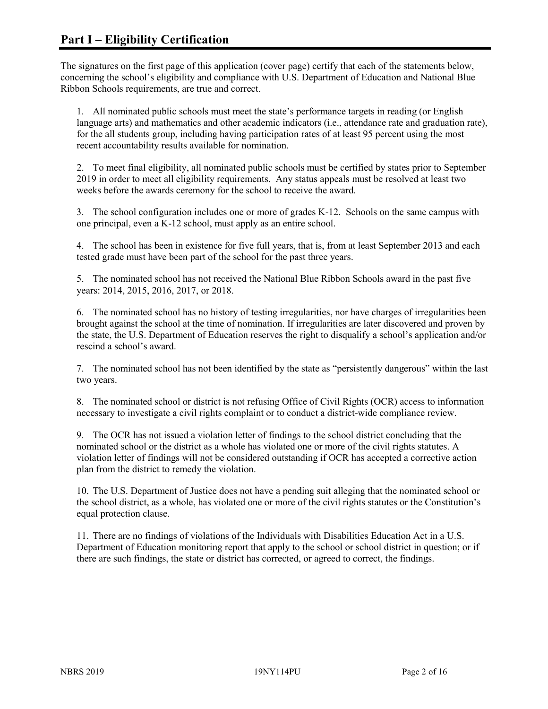The signatures on the first page of this application (cover page) certify that each of the statements below, concerning the school's eligibility and compliance with U.S. Department of Education and National Blue Ribbon Schools requirements, are true and correct.

1. All nominated public schools must meet the state's performance targets in reading (or English language arts) and mathematics and other academic indicators (i.e., attendance rate and graduation rate), for the all students group, including having participation rates of at least 95 percent using the most recent accountability results available for nomination.

2. To meet final eligibility, all nominated public schools must be certified by states prior to September 2019 in order to meet all eligibility requirements. Any status appeals must be resolved at least two weeks before the awards ceremony for the school to receive the award.

3. The school configuration includes one or more of grades K-12. Schools on the same campus with one principal, even a K-12 school, must apply as an entire school.

4. The school has been in existence for five full years, that is, from at least September 2013 and each tested grade must have been part of the school for the past three years.

5. The nominated school has not received the National Blue Ribbon Schools award in the past five years: 2014, 2015, 2016, 2017, or 2018.

6. The nominated school has no history of testing irregularities, nor have charges of irregularities been brought against the school at the time of nomination. If irregularities are later discovered and proven by the state, the U.S. Department of Education reserves the right to disqualify a school's application and/or rescind a school's award.

7. The nominated school has not been identified by the state as "persistently dangerous" within the last two years.

8. The nominated school or district is not refusing Office of Civil Rights (OCR) access to information necessary to investigate a civil rights complaint or to conduct a district-wide compliance review.

9. The OCR has not issued a violation letter of findings to the school district concluding that the nominated school or the district as a whole has violated one or more of the civil rights statutes. A violation letter of findings will not be considered outstanding if OCR has accepted a corrective action plan from the district to remedy the violation.

10. The U.S. Department of Justice does not have a pending suit alleging that the nominated school or the school district, as a whole, has violated one or more of the civil rights statutes or the Constitution's equal protection clause.

11. There are no findings of violations of the Individuals with Disabilities Education Act in a U.S. Department of Education monitoring report that apply to the school or school district in question; or if there are such findings, the state or district has corrected, or agreed to correct, the findings.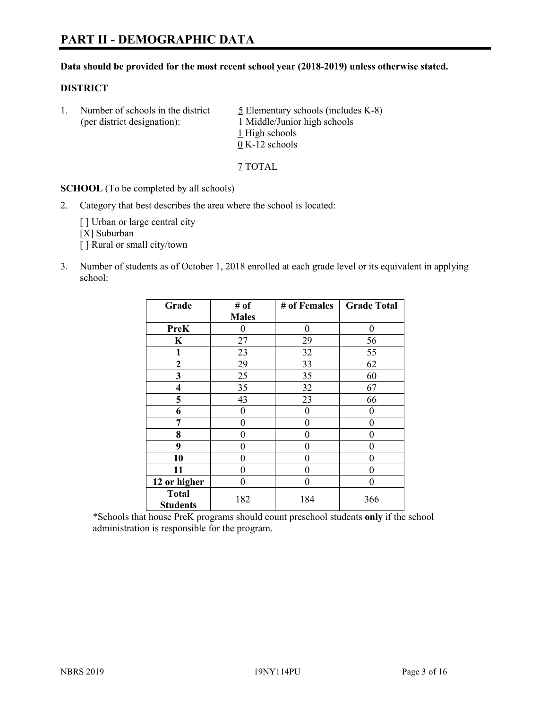#### **Data should be provided for the most recent school year (2018-2019) unless otherwise stated.**

#### **DISTRICT**

1. Number of schools in the district  $\frac{5}{2}$  Elementary schools (includes K-8) (per district designation): 1 Middle/Junior high schools 1 High schools 0 K-12 schools

7 TOTAL

**SCHOOL** (To be completed by all schools)

2. Category that best describes the area where the school is located:

[ ] Urban or large central city [X] Suburban [] Rural or small city/town

3. Number of students as of October 1, 2018 enrolled at each grade level or its equivalent in applying school:

| Grade                           | # of         | # of Females | <b>Grade Total</b> |
|---------------------------------|--------------|--------------|--------------------|
|                                 | <b>Males</b> |              |                    |
| <b>PreK</b>                     | 0            | $\theta$     | 0                  |
| $\mathbf K$                     | 27           | 29           | 56                 |
| 1                               | 23           | 32           | 55                 |
| 2                               | 29           | 33           | 62                 |
| 3                               | 25           | 35           | 60                 |
| 4                               | 35           | 32           | 67                 |
| 5                               | 43           | 23           | 66                 |
| 6                               | 0            | $\theta$     | 0                  |
| 7                               | 0            | $\theta$     | 0                  |
| 8                               | 0            | 0            | 0                  |
| 9                               | 0            | 0            | 0                  |
| 10                              | 0            | 0            | 0                  |
| 11                              | $\theta$     | 0            | 0                  |
| 12 or higher                    | 0            | 0            | 0                  |
| <b>Total</b><br><b>Students</b> | 182          | 184          | 366                |
|                                 |              |              |                    |

\*Schools that house PreK programs should count preschool students **only** if the school administration is responsible for the program.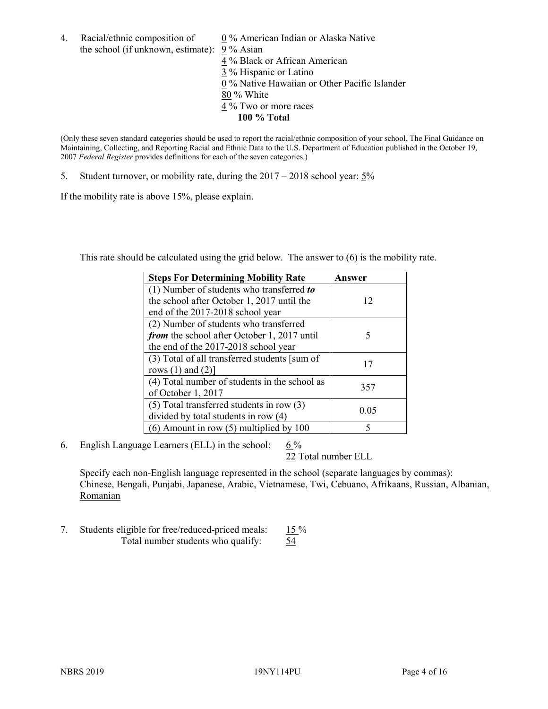4. Racial/ethnic composition of  $0\%$  American Indian or Alaska Native the school (if unknown, estimate): 9 % Asian

 % Black or African American % Hispanic or Latino % Native Hawaiian or Other Pacific Islander 80 % White % Two or more races **100 % Total**

(Only these seven standard categories should be used to report the racial/ethnic composition of your school. The Final Guidance on Maintaining, Collecting, and Reporting Racial and Ethnic Data to the U.S. Department of Education published in the October 19, 2007 *Federal Register* provides definitions for each of the seven categories.)

5. Student turnover, or mobility rate, during the 2017 – 2018 school year: 5%

If the mobility rate is above 15%, please explain.

This rate should be calculated using the grid below. The answer to (6) is the mobility rate.

| <b>Steps For Determining Mobility Rate</b>    | Answer |
|-----------------------------------------------|--------|
| (1) Number of students who transferred to     |        |
| the school after October 1, 2017 until the    | 12     |
| end of the 2017-2018 school year              |        |
| (2) Number of students who transferred        |        |
| from the school after October 1, 2017 until   | 5      |
| the end of the 2017-2018 school year          |        |
| (3) Total of all transferred students [sum of | 17     |
| rows $(1)$ and $(2)$ ]                        |        |
| (4) Total number of students in the school as |        |
| of October 1, 2017                            | 357    |
| $(5)$ Total transferred students in row $(3)$ | 0.05   |
| divided by total students in row (4)          |        |
| $(6)$ Amount in row $(5)$ multiplied by 100   | 5      |

6. English Language Learners (ELL) in the school:  $6\%$ 

22 Total number ELL

Specify each non-English language represented in the school (separate languages by commas): Chinese, Bengali, Punjabi, Japanese, Arabic, Vietnamese, Twi, Cebuano, Afrikaans, Russian, Albanian, **Romanian** 

7. Students eligible for free/reduced-priced meals: 15 % Total number students who qualify:  $\frac{54}{54}$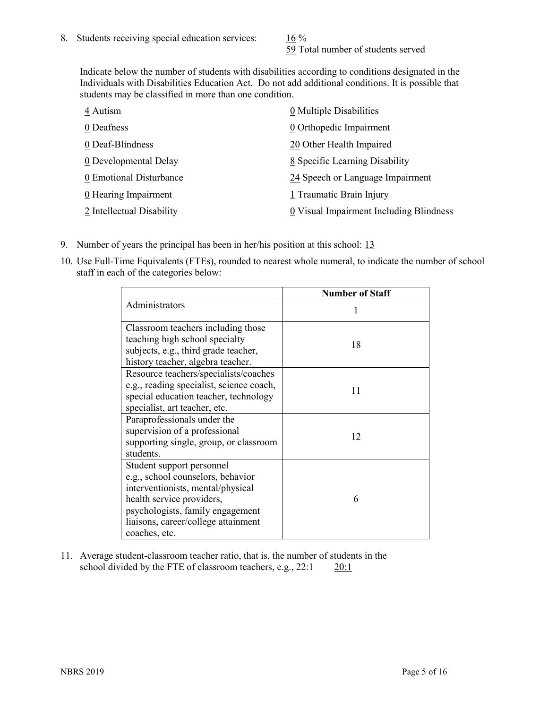59 Total number of students served

Indicate below the number of students with disabilities according to conditions designated in the Individuals with Disabilities Education Act. Do not add additional conditions. It is possible that students may be classified in more than one condition.

| 4 Autism                  | 0 Multiple Disabilities                 |
|---------------------------|-----------------------------------------|
| 0 Deafness                | 0 Orthopedic Impairment                 |
| 0 Deaf-Blindness          | 20 Other Health Impaired                |
| 0 Developmental Delay     | 8 Specific Learning Disability          |
| 0 Emotional Disturbance   | 24 Speech or Language Impairment        |
| 0 Hearing Impairment      | 1 Traumatic Brain Injury                |
| 2 Intellectual Disability | 0 Visual Impairment Including Blindness |

- 9. Number of years the principal has been in her/his position at this school: 13
- 10. Use Full-Time Equivalents (FTEs), rounded to nearest whole numeral, to indicate the number of school staff in each of the categories below:

|                                                                                                                                                                                                                              | <b>Number of Staff</b> |
|------------------------------------------------------------------------------------------------------------------------------------------------------------------------------------------------------------------------------|------------------------|
| Administrators                                                                                                                                                                                                               |                        |
| Classroom teachers including those<br>teaching high school specialty<br>subjects, e.g., third grade teacher,<br>history teacher, algebra teacher.                                                                            | 18                     |
| Resource teachers/specialists/coaches<br>e.g., reading specialist, science coach,<br>special education teacher, technology<br>specialist, art teacher, etc.                                                                  | 11                     |
| Paraprofessionals under the<br>supervision of a professional<br>supporting single, group, or classroom<br>students.                                                                                                          | 12                     |
| Student support personnel<br>e.g., school counselors, behavior<br>interventionists, mental/physical<br>health service providers,<br>psychologists, family engagement<br>liaisons, career/college attainment<br>coaches, etc. | 6                      |

11. Average student-classroom teacher ratio, that is, the number of students in the school divided by the FTE of classroom teachers, e.g.,  $22:1$  20:1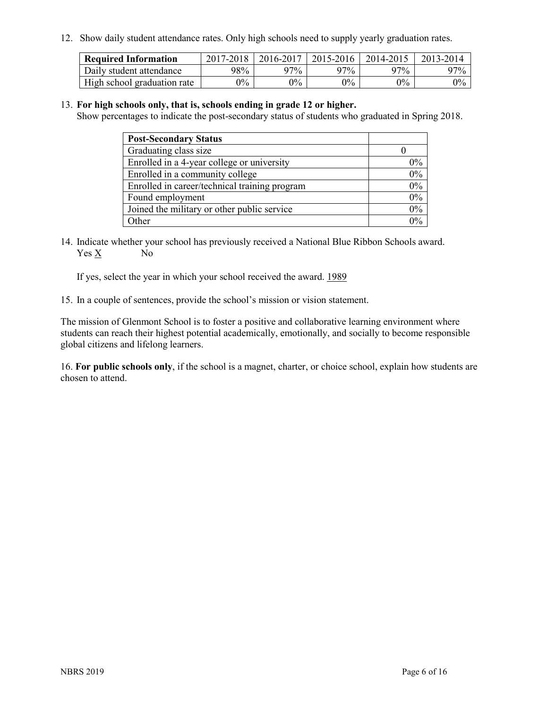12. Show daily student attendance rates. Only high schools need to supply yearly graduation rates.

| <b>Required Information</b> | $2017 - 2018$ | 2016-2017 | 2015-2016 | 2014-2015 | 2013-2014 |
|-----------------------------|---------------|-----------|-----------|-----------|-----------|
| Daily student attendance    | 98%           | 97%       | 97%       | 97%       | $97\%$    |
| High school graduation rate | $0\%$         | $0\%$     | $0\%$     | $9\%$     | $0\%$     |

#### 13. **For high schools only, that is, schools ending in grade 12 or higher.**

Show percentages to indicate the post-secondary status of students who graduated in Spring 2018.

| <b>Post-Secondary Status</b>                  |           |
|-----------------------------------------------|-----------|
| Graduating class size                         |           |
| Enrolled in a 4-year college or university    | $0\%$     |
| Enrolled in a community college               | 0%        |
| Enrolled in career/technical training program | $0\%$     |
| Found employment                              | 0%        |
| Joined the military or other public service   | 0%        |
| Other                                         | በዓ $\sim$ |

14. Indicate whether your school has previously received a National Blue Ribbon Schools award. Yes X No

If yes, select the year in which your school received the award. 1989

15. In a couple of sentences, provide the school's mission or vision statement.

The mission of Glenmont School is to foster a positive and collaborative learning environment where students can reach their highest potential academically, emotionally, and socially to become responsible global citizens and lifelong learners.

16. **For public schools only**, if the school is a magnet, charter, or choice school, explain how students are chosen to attend.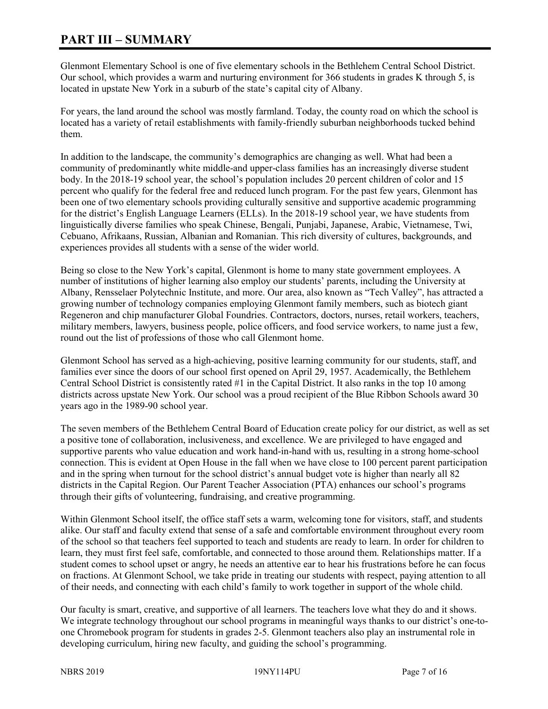# **PART III – SUMMARY**

Glenmont Elementary School is one of five elementary schools in the Bethlehem Central School District. Our school, which provides a warm and nurturing environment for 366 students in grades K through 5, is located in upstate New York in a suburb of the state's capital city of Albany.

For years, the land around the school was mostly farmland. Today, the county road on which the school is located has a variety of retail establishments with family-friendly suburban neighborhoods tucked behind them.

In addition to the landscape, the community's demographics are changing as well. What had been a community of predominantly white middle-and upper-class families has an increasingly diverse student body. In the 2018-19 school year, the school's population includes 20 percent children of color and 15 percent who qualify for the federal free and reduced lunch program. For the past few years, Glenmont has been one of two elementary schools providing culturally sensitive and supportive academic programming for the district's English Language Learners (ELLs). In the 2018-19 school year, we have students from linguistically diverse families who speak Chinese, Bengali, Punjabi, Japanese, Arabic, Vietnamese, Twi, Cebuano, Afrikaans, Russian, Albanian and Romanian. This rich diversity of cultures, backgrounds, and experiences provides all students with a sense of the wider world.

Being so close to the New York's capital, Glenmont is home to many state government employees. A number of institutions of higher learning also employ our students' parents, including the University at Albany, Rensselaer Polytechnic Institute, and more. Our area, also known as "Tech Valley", has attracted a growing number of technology companies employing Glenmont family members, such as biotech giant Regeneron and chip manufacturer Global Foundries. Contractors, doctors, nurses, retail workers, teachers, military members, lawyers, business people, police officers, and food service workers, to name just a few, round out the list of professions of those who call Glenmont home.

Glenmont School has served as a high-achieving, positive learning community for our students, staff, and families ever since the doors of our school first opened on April 29, 1957. Academically, the Bethlehem Central School District is consistently rated #1 in the Capital District. It also ranks in the top 10 among districts across upstate New York. Our school was a proud recipient of the Blue Ribbon Schools award 30 years ago in the 1989-90 school year.

The seven members of the Bethlehem Central Board of Education create policy for our district, as well as set a positive tone of collaboration, inclusiveness, and excellence. We are privileged to have engaged and supportive parents who value education and work hand-in-hand with us, resulting in a strong home-school connection. This is evident at Open House in the fall when we have close to 100 percent parent participation and in the spring when turnout for the school district's annual budget vote is higher than nearly all 82 districts in the Capital Region. Our Parent Teacher Association (PTA) enhances our school's programs through their gifts of volunteering, fundraising, and creative programming.

Within Glenmont School itself, the office staff sets a warm, welcoming tone for visitors, staff, and students alike. Our staff and faculty extend that sense of a safe and comfortable environment throughout every room of the school so that teachers feel supported to teach and students are ready to learn. In order for children to learn, they must first feel safe, comfortable, and connected to those around them. Relationships matter. If a student comes to school upset or angry, he needs an attentive ear to hear his frustrations before he can focus on fractions. At Glenmont School, we take pride in treating our students with respect, paying attention to all of their needs, and connecting with each child's family to work together in support of the whole child.

Our faculty is smart, creative, and supportive of all learners. The teachers love what they do and it shows. We integrate technology throughout our school programs in meaningful ways thanks to our district's one-toone Chromebook program for students in grades 2-5. Glenmont teachers also play an instrumental role in developing curriculum, hiring new faculty, and guiding the school's programming.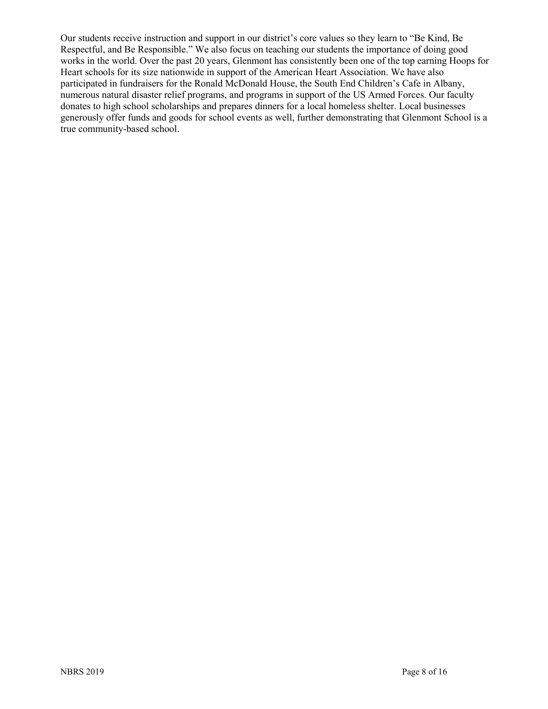Our students receive instruction and support in our district's core values so they learn to "Be Kind, Be Respectful, and Be Responsible." We also focus on teaching our students the importance of doing good works in the world. Over the past 20 years, Glenmont has consistently been one of the top earning Hoops for Heart schools for its size nationwide in support of the American Heart Association. We have also participated in fundraisers for the Ronald McDonald House, the South End Children's Cafe in Albany, numerous natural disaster relief programs, and programs in support of the US Armed Forces. Our faculty donates to high school scholarships and prepares dinners for a local homeless shelter. Local businesses generously offer funds and goods for school events as well, further demonstrating that Glenmont School is a true community-based school.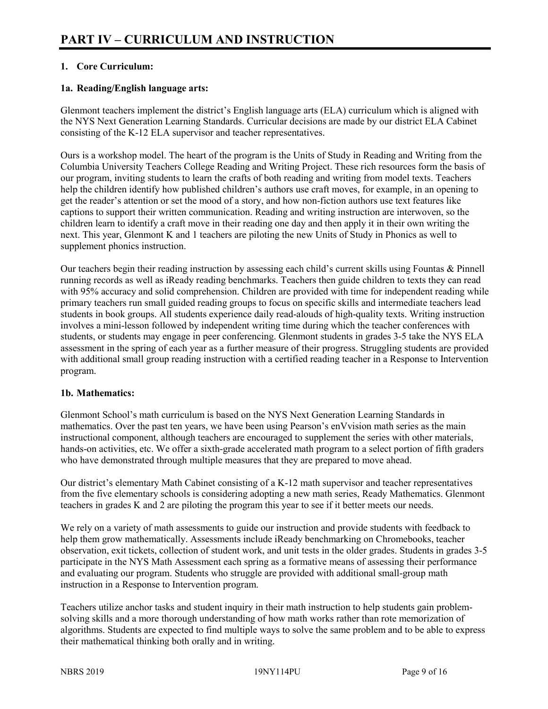# **1. Core Curriculum:**

# **1a. Reading/English language arts:**

Glenmont teachers implement the district's English language arts (ELA) curriculum which is aligned with the NYS Next Generation Learning Standards. Curricular decisions are made by our district ELA Cabinet consisting of the K-12 ELA supervisor and teacher representatives.

Ours is a workshop model. The heart of the program is the Units of Study in Reading and Writing from the Columbia University Teachers College Reading and Writing Project. These rich resources form the basis of our program, inviting students to learn the crafts of both reading and writing from model texts. Teachers help the children identify how published children's authors use craft moves, for example, in an opening to get the reader's attention or set the mood of a story, and how non-fiction authors use text features like captions to support their written communication. Reading and writing instruction are interwoven, so the children learn to identify a craft move in their reading one day and then apply it in their own writing the next. This year, Glenmont K and 1 teachers are piloting the new Units of Study in Phonics as well to supplement phonics instruction.

Our teachers begin their reading instruction by assessing each child's current skills using Fountas & Pinnell running records as well as iReady reading benchmarks. Teachers then guide children to texts they can read with 95% accuracy and solid comprehension. Children are provided with time for independent reading while primary teachers run small guided reading groups to focus on specific skills and intermediate teachers lead students in book groups. All students experience daily read-alouds of high-quality texts. Writing instruction involves a mini-lesson followed by independent writing time during which the teacher conferences with students, or students may engage in peer conferencing. Glenmont students in grades 3-5 take the NYS ELA assessment in the spring of each year as a further measure of their progress. Struggling students are provided with additional small group reading instruction with a certified reading teacher in a Response to Intervention program.

#### **1b. Mathematics:**

Glenmont School's math curriculum is based on the NYS Next Generation Learning Standards in mathematics. Over the past ten years, we have been using Pearson's enVvision math series as the main instructional component, although teachers are encouraged to supplement the series with other materials, hands-on activities, etc. We offer a sixth-grade accelerated math program to a select portion of fifth graders who have demonstrated through multiple measures that they are prepared to move ahead.

Our district's elementary Math Cabinet consisting of a K-12 math supervisor and teacher representatives from the five elementary schools is considering adopting a new math series, Ready Mathematics. Glenmont teachers in grades K and 2 are piloting the program this year to see if it better meets our needs.

We rely on a variety of math assessments to guide our instruction and provide students with feedback to help them grow mathematically. Assessments include iReady benchmarking on Chromebooks, teacher observation, exit tickets, collection of student work, and unit tests in the older grades. Students in grades 3-5 participate in the NYS Math Assessment each spring as a formative means of assessing their performance and evaluating our program. Students who struggle are provided with additional small-group math instruction in a Response to Intervention program.

Teachers utilize anchor tasks and student inquiry in their math instruction to help students gain problemsolving skills and a more thorough understanding of how math works rather than rote memorization of algorithms. Students are expected to find multiple ways to solve the same problem and to be able to express their mathematical thinking both orally and in writing.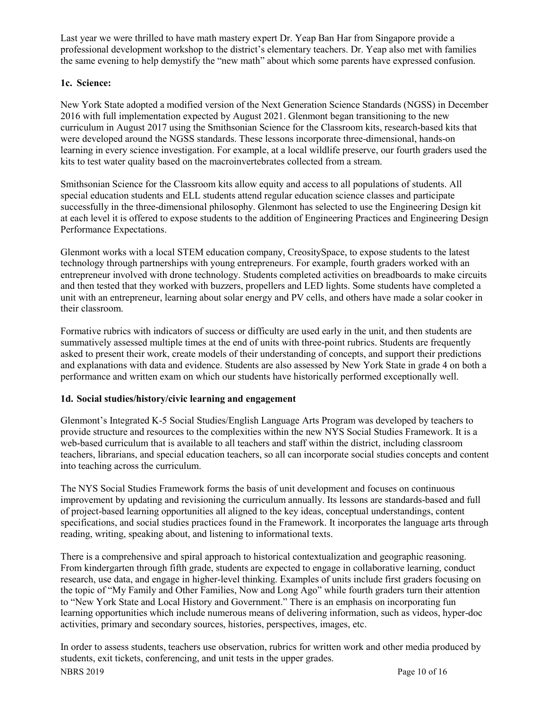Last year we were thrilled to have math mastery expert Dr. Yeap Ban Har from Singapore provide a professional development workshop to the district's elementary teachers. Dr. Yeap also met with families the same evening to help demystify the "new math" about which some parents have expressed confusion.

# **1c. Science:**

New York State adopted a modified version of the Next Generation Science Standards (NGSS) in December 2016 with full implementation expected by August 2021. Glenmont began transitioning to the new curriculum in August 2017 using the Smithsonian Science for the Classroom kits, research-based kits that were developed around the NGSS standards. These lessons incorporate three-dimensional, hands-on learning in every science investigation. For example, at a local wildlife preserve, our fourth graders used the kits to test water quality based on the macroinvertebrates collected from a stream.

Smithsonian Science for the Classroom kits allow equity and access to all populations of students. All special education students and ELL students attend regular education science classes and participate successfully in the three-dimensional philosophy. Glenmont has selected to use the Engineering Design kit at each level it is offered to expose students to the addition of Engineering Practices and Engineering Design Performance Expectations.

Glenmont works with a local STEM education company, CreositySpace, to expose students to the latest technology through partnerships with young entrepreneurs. For example, fourth graders worked with an entrepreneur involved with drone technology. Students completed activities on breadboards to make circuits and then tested that they worked with buzzers, propellers and LED lights. Some students have completed a unit with an entrepreneur, learning about solar energy and PV cells, and others have made a solar cooker in their classroom.

Formative rubrics with indicators of success or difficulty are used early in the unit, and then students are summatively assessed multiple times at the end of units with three-point rubrics. Students are frequently asked to present their work, create models of their understanding of concepts, and support their predictions and explanations with data and evidence. Students are also assessed by New York State in grade 4 on both a performance and written exam on which our students have historically performed exceptionally well.

# **1d. Social studies/history/civic learning and engagement**

Glenmont's Integrated K-5 Social Studies/English Language Arts Program was developed by teachers to provide structure and resources to the complexities within the new NYS Social Studies Framework. It is a web-based curriculum that is available to all teachers and staff within the district, including classroom teachers, librarians, and special education teachers, so all can incorporate social studies concepts and content into teaching across the curriculum.

The NYS Social Studies Framework forms the basis of unit development and focuses on continuous improvement by updating and revisioning the curriculum annually. Its lessons are standards-based and full of project-based learning opportunities all aligned to the key ideas, conceptual understandings, content specifications, and social studies practices found in the Framework. It incorporates the language arts through reading, writing, speaking about, and listening to informational texts.

There is a comprehensive and spiral approach to historical contextualization and geographic reasoning. From kindergarten through fifth grade, students are expected to engage in collaborative learning, conduct research, use data, and engage in higher-level thinking. Examples of units include first graders focusing on the topic of "My Family and Other Families, Now and Long Ago" while fourth graders turn their attention to "New York State and Local History and Government." There is an emphasis on incorporating fun learning opportunities which include numerous means of delivering information, such as videos, hyper-doc activities, primary and secondary sources, histories, perspectives, images, etc.

NBRS 2019 Page 10 of 16 In order to assess students, teachers use observation, rubrics for written work and other media produced by students, exit tickets, conferencing, and unit tests in the upper grades.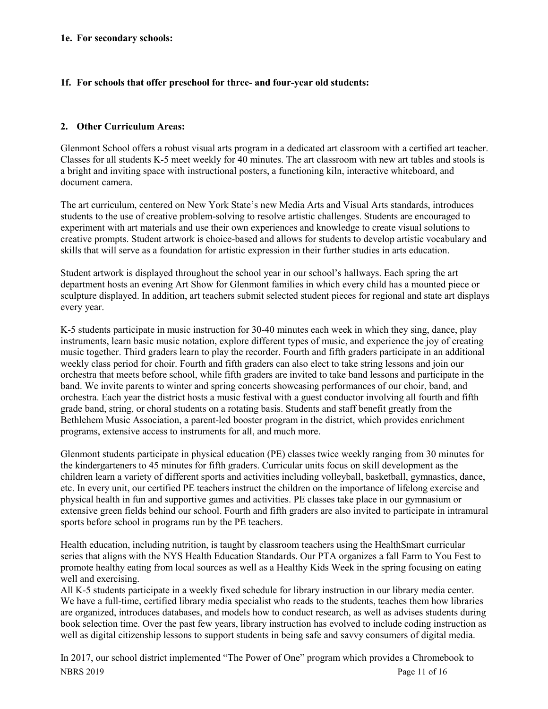#### **1e. For secondary schools:**

#### **1f. For schools that offer preschool for three- and four-year old students:**

# **2. Other Curriculum Areas:**

Glenmont School offers a robust visual arts program in a dedicated art classroom with a certified art teacher. Classes for all students K-5 meet weekly for 40 minutes. The art classroom with new art tables and stools is a bright and inviting space with instructional posters, a functioning kiln, interactive whiteboard, and document camera.

The art curriculum, centered on New York State's new Media Arts and Visual Arts standards, introduces students to the use of creative problem-solving to resolve artistic challenges. Students are encouraged to experiment with art materials and use their own experiences and knowledge to create visual solutions to creative prompts. Student artwork is choice-based and allows for students to develop artistic vocabulary and skills that will serve as a foundation for artistic expression in their further studies in arts education.

Student artwork is displayed throughout the school year in our school's hallways. Each spring the art department hosts an evening Art Show for Glenmont families in which every child has a mounted piece or sculpture displayed. In addition, art teachers submit selected student pieces for regional and state art displays every year.

K-5 students participate in music instruction for 30-40 minutes each week in which they sing, dance, play instruments, learn basic music notation, explore different types of music, and experience the joy of creating music together. Third graders learn to play the recorder. Fourth and fifth graders participate in an additional weekly class period for choir. Fourth and fifth graders can also elect to take string lessons and join our orchestra that meets before school, while fifth graders are invited to take band lessons and participate in the band. We invite parents to winter and spring concerts showcasing performances of our choir, band, and orchestra. Each year the district hosts a music festival with a guest conductor involving all fourth and fifth grade band, string, or choral students on a rotating basis. Students and staff benefit greatly from the Bethlehem Music Association, a parent-led booster program in the district, which provides enrichment programs, extensive access to instruments for all, and much more.

Glenmont students participate in physical education (PE) classes twice weekly ranging from 30 minutes for the kindergarteners to 45 minutes for fifth graders. Curricular units focus on skill development as the children learn a variety of different sports and activities including volleyball, basketball, gymnastics, dance, etc. In every unit, our certified PE teachers instruct the children on the importance of lifelong exercise and physical health in fun and supportive games and activities. PE classes take place in our gymnasium or extensive green fields behind our school. Fourth and fifth graders are also invited to participate in intramural sports before school in programs run by the PE teachers.

Health education, including nutrition, is taught by classroom teachers using the HealthSmart curricular series that aligns with the NYS Health Education Standards. Our PTA organizes a fall Farm to You Fest to promote healthy eating from local sources as well as a Healthy Kids Week in the spring focusing on eating well and exercising.

All K-5 students participate in a weekly fixed schedule for library instruction in our library media center. We have a full-time, certified library media specialist who reads to the students, teaches them how libraries are organized, introduces databases, and models how to conduct research, as well as advises students during book selection time. Over the past few years, library instruction has evolved to include coding instruction as well as digital citizenship lessons to support students in being safe and savvy consumers of digital media.

NBRS 2019 Page 11 of 16 In 2017, our school district implemented "The Power of One" program which provides a Chromebook to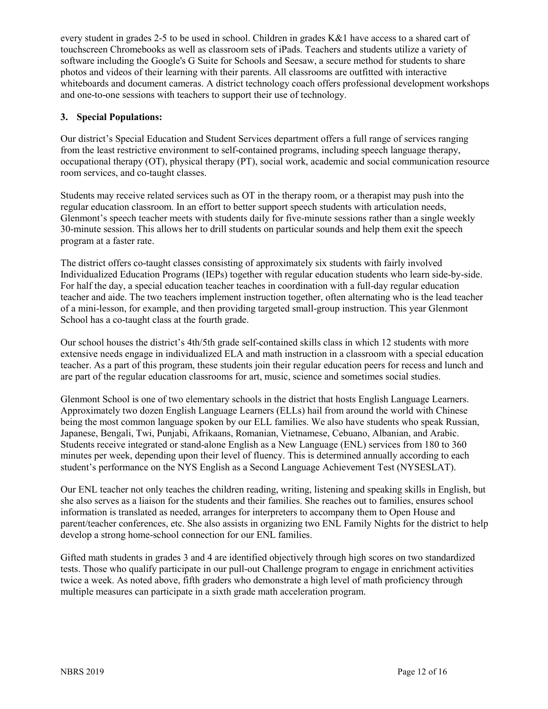every student in grades 2-5 to be used in school. Children in grades K&1 have access to a shared cart of touchscreen Chromebooks as well as classroom sets of iPads. Teachers and students utilize a variety of software including the Google's G Suite for Schools and Seesaw, a secure method for students to share photos and videos of their learning with their parents. All classrooms are outfitted with interactive whiteboards and document cameras. A district technology coach offers professional development workshops and one-to-one sessions with teachers to support their use of technology.

# **3. Special Populations:**

Our district's Special Education and Student Services department offers a full range of services ranging from the least restrictive environment to self-contained programs, including speech language therapy, occupational therapy (OT), physical therapy (PT), social work, academic and social communication resource room services, and co-taught classes.

Students may receive related services such as OT in the therapy room, or a therapist may push into the regular education classroom. In an effort to better support speech students with articulation needs, Glenmont's speech teacher meets with students daily for five-minute sessions rather than a single weekly 30-minute session. This allows her to drill students on particular sounds and help them exit the speech program at a faster rate.

The district offers co-taught classes consisting of approximately six students with fairly involved Individualized Education Programs (IEPs) together with regular education students who learn side-by-side. For half the day, a special education teacher teaches in coordination with a full-day regular education teacher and aide. The two teachers implement instruction together, often alternating who is the lead teacher of a mini-lesson, for example, and then providing targeted small-group instruction. This year Glenmont School has a co-taught class at the fourth grade.

Our school houses the district's 4th/5th grade self-contained skills class in which 12 students with more extensive needs engage in individualized ELA and math instruction in a classroom with a special education teacher. As a part of this program, these students join their regular education peers for recess and lunch and are part of the regular education classrooms for art, music, science and sometimes social studies.

Glenmont School is one of two elementary schools in the district that hosts English Language Learners. Approximately two dozen English Language Learners (ELLs) hail from around the world with Chinese being the most common language spoken by our ELL families. We also have students who speak Russian, Japanese, Bengali, Twi, Punjabi, Afrikaans, Romanian, Vietnamese, Cebuano, Albanian, and Arabic. Students receive integrated or stand-alone English as a New Language (ENL) services from 180 to 360 minutes per week, depending upon their level of fluency. This is determined annually according to each student's performance on the NYS English as a Second Language Achievement Test (NYSESLAT).

Our ENL teacher not only teaches the children reading, writing, listening and speaking skills in English, but she also serves as a liaison for the students and their families. She reaches out to families, ensures school information is translated as needed, arranges for interpreters to accompany them to Open House and parent/teacher conferences, etc. She also assists in organizing two ENL Family Nights for the district to help develop a strong home-school connection for our ENL families.

Gifted math students in grades 3 and 4 are identified objectively through high scores on two standardized tests. Those who qualify participate in our pull-out Challenge program to engage in enrichment activities twice a week. As noted above, fifth graders who demonstrate a high level of math proficiency through multiple measures can participate in a sixth grade math acceleration program.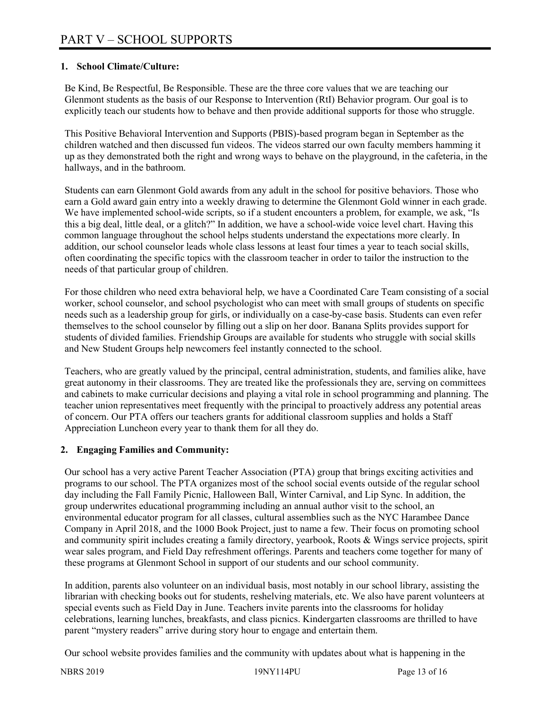# **1. School Climate/Culture:**

Be Kind, Be Respectful, Be Responsible. These are the three core values that we are teaching our Glenmont students as the basis of our Response to Intervention (RtI) Behavior program. Our goal is to explicitly teach our students how to behave and then provide additional supports for those who struggle.

This Positive Behavioral Intervention and Supports (PBIS)-based program began in September as the children watched and then discussed fun videos. The videos starred our own faculty members hamming it up as they demonstrated both the right and wrong ways to behave on the playground, in the cafeteria, in the hallways, and in the bathroom.

Students can earn Glenmont Gold awards from any adult in the school for positive behaviors. Those who earn a Gold award gain entry into a weekly drawing to determine the Glenmont Gold winner in each grade. We have implemented school-wide scripts, so if a student encounters a problem, for example, we ask, "Is this a big deal, little deal, or a glitch?" In addition, we have a school-wide voice level chart. Having this common language throughout the school helps students understand the expectations more clearly. In addition, our school counselor leads whole class lessons at least four times a year to teach social skills, often coordinating the specific topics with the classroom teacher in order to tailor the instruction to the needs of that particular group of children.

For those children who need extra behavioral help, we have a Coordinated Care Team consisting of a social worker, school counselor, and school psychologist who can meet with small groups of students on specific needs such as a leadership group for girls, or individually on a case-by-case basis. Students can even refer themselves to the school counselor by filling out a slip on her door. Banana Splits provides support for students of divided families. Friendship Groups are available for students who struggle with social skills and New Student Groups help newcomers feel instantly connected to the school.

Teachers, who are greatly valued by the principal, central administration, students, and families alike, have great autonomy in their classrooms. They are treated like the professionals they are, serving on committees and cabinets to make curricular decisions and playing a vital role in school programming and planning. The teacher union representatives meet frequently with the principal to proactively address any potential areas of concern. Our PTA offers our teachers grants for additional classroom supplies and holds a Staff Appreciation Luncheon every year to thank them for all they do.

# **2. Engaging Families and Community:**

Our school has a very active Parent Teacher Association (PTA) group that brings exciting activities and programs to our school. The PTA organizes most of the school social events outside of the regular school day including the Fall Family Picnic, Halloween Ball, Winter Carnival, and Lip Sync. In addition, the group underwrites educational programming including an annual author visit to the school, an environmental educator program for all classes, cultural assemblies such as the NYC Harambee Dance Company in April 2018, and the 1000 Book Project, just to name a few. Their focus on promoting school and community spirit includes creating a family directory, yearbook, Roots & Wings service projects, spirit wear sales program, and Field Day refreshment offerings. Parents and teachers come together for many of these programs at Glenmont School in support of our students and our school community.

In addition, parents also volunteer on an individual basis, most notably in our school library, assisting the librarian with checking books out for students, reshelving materials, etc. We also have parent volunteers at special events such as Field Day in June. Teachers invite parents into the classrooms for holiday celebrations, learning lunches, breakfasts, and class picnics. Kindergarten classrooms are thrilled to have parent "mystery readers" arrive during story hour to engage and entertain them.

Our school website provides families and the community with updates about what is happening in the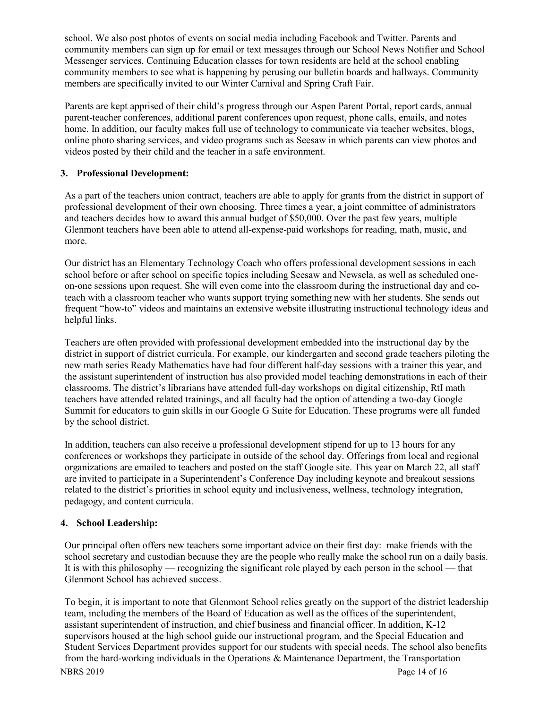school. We also post photos of events on social media including Facebook and Twitter. Parents and community members can sign up for email or text messages through our School News Notifier and School Messenger services. Continuing Education classes for town residents are held at the school enabling community members to see what is happening by perusing our bulletin boards and hallways. Community members are specifically invited to our Winter Carnival and Spring Craft Fair.

Parents are kept apprised of their child's progress through our Aspen Parent Portal, report cards, annual parent-teacher conferences, additional parent conferences upon request, phone calls, emails, and notes home. In addition, our faculty makes full use of technology to communicate via teacher websites, blogs, online photo sharing services, and video programs such as Seesaw in which parents can view photos and videos posted by their child and the teacher in a safe environment.

# **3. Professional Development:**

As a part of the teachers union contract, teachers are able to apply for grants from the district in support of professional development of their own choosing. Three times a year, a joint committee of administrators and teachers decides how to award this annual budget of \$50,000. Over the past few years, multiple Glenmont teachers have been able to attend all-expense-paid workshops for reading, math, music, and more.

Our district has an Elementary Technology Coach who offers professional development sessions in each school before or after school on specific topics including Seesaw and Newsela, as well as scheduled oneon-one sessions upon request. She will even come into the classroom during the instructional day and coteach with a classroom teacher who wants support trying something new with her students. She sends out frequent "how-to" videos and maintains an extensive website illustrating instructional technology ideas and helpful links.

Teachers are often provided with professional development embedded into the instructional day by the district in support of district curricula. For example, our kindergarten and second grade teachers piloting the new math series Ready Mathematics have had four different half-day sessions with a trainer this year, and the assistant superintendent of instruction has also provided model teaching demonstrations in each of their classrooms. The district's librarians have attended full-day workshops on digital citizenship, RtI math teachers have attended related trainings, and all faculty had the option of attending a two-day Google Summit for educators to gain skills in our Google G Suite for Education. These programs were all funded by the school district.

In addition, teachers can also receive a professional development stipend for up to 13 hours for any conferences or workshops they participate in outside of the school day. Offerings from local and regional organizations are emailed to teachers and posted on the staff Google site. This year on March 22, all staff are invited to participate in a Superintendent's Conference Day including keynote and breakout sessions related to the district's priorities in school equity and inclusiveness, wellness, technology integration, pedagogy, and content curricula.

# **4. School Leadership:**

Our principal often offers new teachers some important advice on their first day: make friends with the school secretary and custodian because they are the people who really make the school run on a daily basis. It is with this philosophy — recognizing the significant role played by each person in the school — that Glenmont School has achieved success.

NBRS 2019 Page 14 of 16 To begin, it is important to note that Glenmont School relies greatly on the support of the district leadership team, including the members of the Board of Education as well as the offices of the superintendent, assistant superintendent of instruction, and chief business and financial officer. In addition, K-12 supervisors housed at the high school guide our instructional program, and the Special Education and Student Services Department provides support for our students with special needs. The school also benefits from the hard-working individuals in the Operations & Maintenance Department, the Transportation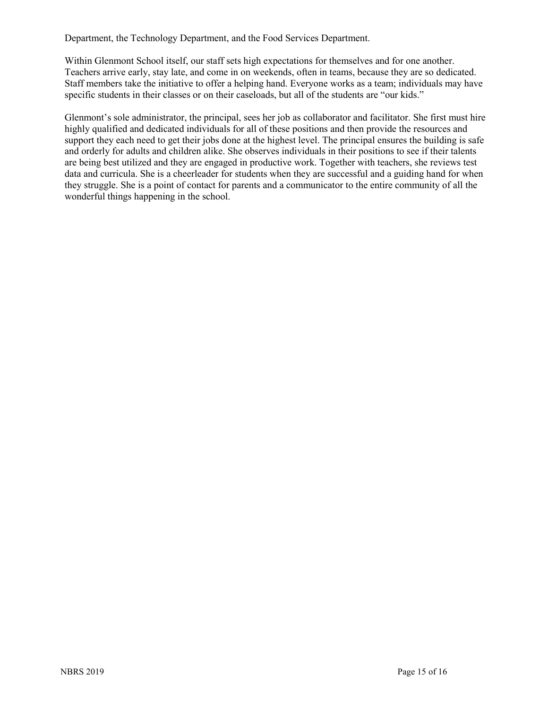Department, the Technology Department, and the Food Services Department.

Within Glenmont School itself, our staff sets high expectations for themselves and for one another. Teachers arrive early, stay late, and come in on weekends, often in teams, because they are so dedicated. Staff members take the initiative to offer a helping hand. Everyone works as a team; individuals may have specific students in their classes or on their caseloads, but all of the students are "our kids."

Glenmont's sole administrator, the principal, sees her job as collaborator and facilitator. She first must hire highly qualified and dedicated individuals for all of these positions and then provide the resources and support they each need to get their jobs done at the highest level. The principal ensures the building is safe and orderly for adults and children alike. She observes individuals in their positions to see if their talents are being best utilized and they are engaged in productive work. Together with teachers, she reviews test data and curricula. She is a cheerleader for students when they are successful and a guiding hand for when they struggle. She is a point of contact for parents and a communicator to the entire community of all the wonderful things happening in the school.